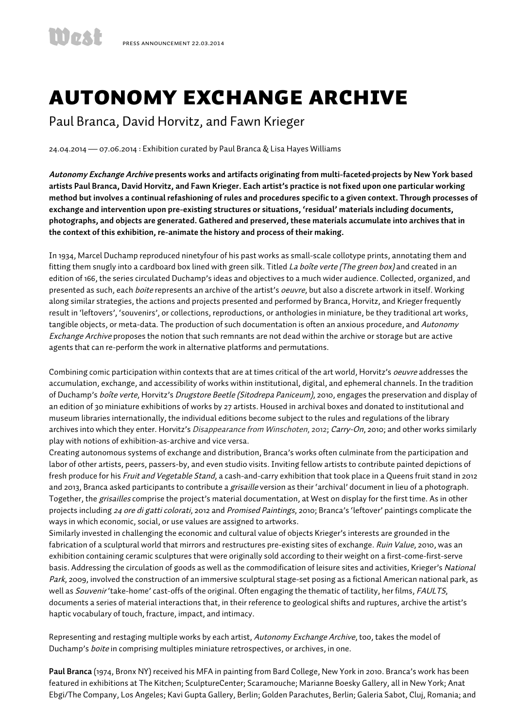## Autonomy Exchange Archive

Paul Branca, David Horvitz, and Fawn Krieger

24.04.2014 — 07.06.2014 : Exhibition curated by Paul Branca & Lisa Hayes Williams

**Autonomy Exchange Archive presents works and artifacts originating from multi-faceted projects by New York based artists Paul Branca, David Horvitz, and Fawn Krieger. Each artist's practice is not fixed upon one particular working method but involves a continual refashioning of rules and procedures specific to a given context. Through processes of exchange and intervention upon pre-existing structures or situations, 'residual' materials including documents, photographs, and objects are generated. Gathered and preserved, these materials accumulate into archives that in the context of this exhibition, re-animate the history and process of their making.** 

In 1934, Marcel Duchamp reproduced ninetyfour of his past works as small-scale collotype prints, annotating them and fitting them snugly into a cardboard box lined with green silk. Titled La boîte verte (The green box) and created in an edition of 166, the series circulated Duchamp's ideas and objectives to a much wider audience. Collected, organized, and presented as such, each *boite* represents an archive of the artist's *oeuvre*, but also a discrete artwork in itself. Working along similar strategies, the actions and projects presented and performed by Branca, Horvitz, and Krieger frequently result in 'leftovers', 'souvenirs', or collections, reproductions, or anthologies in miniature, be they traditional art works, tangible objects, or meta-data. The production of such documentation is often an anxious procedure, and Autonomy Exchange Archive proposes the notion that such remnants are not dead within the archive or storage but are active agents that can re-perform the work in alternative platforms and permutations.

Combining comic participation within contexts that are at times critical of the art world, Horvitz's oeuvre addresses the accumulation, exchange, and accessibility of works within institutional, digital, and ephemeral channels. In the tradition of Duchamp's boîte verte, Horvitz's Drugstore Beetle (Sitodrepa Paniceum), 2010, engages the preservation and display of an edition of 30 miniature exhibitions of works by 27 artists. Housed in archival boxes and donated to institutional and museum libraries internationally, the individual editions become subject to the rules and regulations of the library archives into which they enter. Horvitz's Disappearance from Winschoten, 2012; Carry-On, 2010; and other works similarly play with notions of exhibition-as-archive and vice versa.

Creating autonomous systems of exchange and distribution, Branca's works often culminate from the participation and labor of other artists, peers, passers-by, and even studio visits. Inviting fellow artists to contribute painted depictions of fresh produce for his Fruit and Vegetable Stand, a cash-and-carry exhibition that took place in a Queens fruit stand in 2012 and 2013, Branca asked participants to contribute a *grisaille* version as their 'archival' document in lieu of a photograph. Together, the grisailles comprise the project's material documentation, at West on display for the first time. As in other projects including 24 ore di gatti colorati, 2012 and Promised Paintings, 2010; Branca's 'leftover' paintings complicate the ways in which economic, social, or use values are assigned to artworks.

Similarly invested in challenging the economic and cultural value of objects Krieger's interests are grounded in the fabrication of a sculptural world that mirrors and restructures pre-existing sites of exchange. Ruin Value, 2010, was an exhibition containing ceramic sculptures that were originally sold according to their weight on a first-come-first-serve basis. Addressing the circulation of goods as well as the commodification of leisure sites and activities, Krieger's National Park, 2009, involved the construction of an immersive sculptural stage-set posing as a fictional American national park, as well as *Souvenir* 'take-home' cast-offs of the original. Often engaging the thematic of tactility, her films, FAULTS, documents a series of material interactions that, in their reference to geological shifts and ruptures, archive the artist's haptic vocabulary of touch, fracture, impact, and intimacy.

Representing and restaging multiple works by each artist, Autonomy Exchange Archive, too, takes the model of Duchamp's boite in comprising multiples miniature retrospectives, or archives, in one.

**Paul Branca** (1974, Bronx NY) received his MFA in painting from Bard College, New York in 2010. Branca's work has been featured in exhibitions at The Kitchen; SculptureCenter; Scaramouche; Marianne Boesky Gallery, all in New York; Anat Ebgi/The Company, Los Angeles; Kavi Gupta Gallery, Berlin; Golden Parachutes, Berlin; Galeria Sabot, Cluj, Romania; and